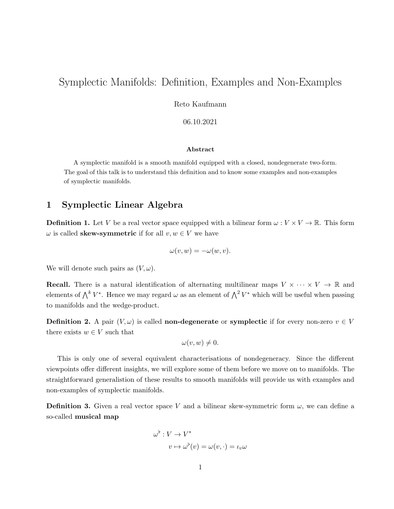# Symplectic Manifolds: Definition, Examples and Non-Examples

Reto Kaufmann

06.10.2021

#### Abstract

A symplectic manifold is a smooth manifold equipped with a closed, nondegenerate two-form. The goal of this talk is to understand this definition and to know some examples and non-examples of symplectic manifolds.

## 1 Symplectic Linear Algebra

**Definition 1.** Let V be a real vector space equipped with a bilinear form  $\omega : V \times V \to \mathbb{R}$ . This form  $\omega$  is called **skew-symmetric** if for all  $v, w \in V$  we have

$$
\omega(v, w) = -\omega(w, v).
$$

We will denote such pairs as  $(V, \omega)$ .

**Recall.** There is a natural identification of alternating multilinear maps  $V \times \cdots \times V \rightarrow \mathbb{R}$  and elements of  $\bigwedge^k V^*$ . Hence we may regard  $\omega$  as an element of  $\bigwedge^2 V^*$  which will be useful when passing to manifolds and the wedge-product.

**Definition 2.** A pair  $(V, \omega)$  is called **non-degenerate** or **symplectic** if for every non-zero  $v \in V$ there exists  $w \in V$  such that

$$
\omega(v,w)\neq 0.
$$

This is only one of several equivalent characterisations of nondegeneracy. Since the different viewpoints offer different insights, we will explore some of them before we move on to manifolds. The straightforward generalistion of these results to smooth manifolds will provide us with examples and non-examples of symplectic manifolds.

**Definition 3.** Given a real vector space V and a bilinear skew-symmetric form  $\omega$ , we can define a so-called musical map

$$
\omega^{\flat} : V \to V^*
$$

$$
v \mapsto \omega^{\flat}(v) = \omega(v, \cdot) = \iota_v \omega
$$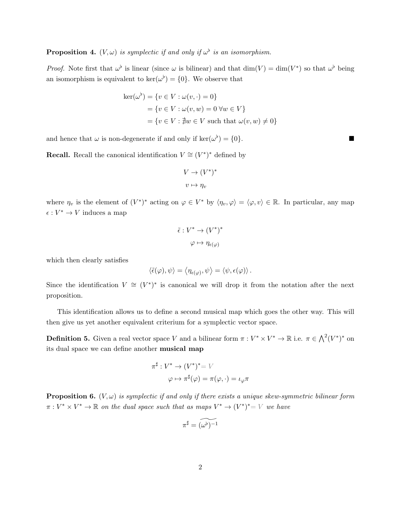#### **Proposition 4.**  $(V, \omega)$  is symplectic if and only if  $\omega^{\flat}$  is an isomorphism.

*Proof.* Note first that  $\omega^{\flat}$  is linear (since  $\omega$  is bilinear) and that  $\dim(V) = \dim(V^*)$  so that  $\omega^{\flat}$  being an isomorphism is equivalent to  $\ker(\omega^{\flat}) = \{0\}$ . We observe that

$$
\ker(\omega^{\flat}) = \{v \in V : \omega(v, \cdot) = 0\}
$$
  
=  $\{v \in V : \omega(v, w) = 0 \,\forall w \in V\}$   
=  $\{v \in V : \nexists w \in V \text{ such that } \omega(v, w) \neq 0\}$ 

and hence that  $\omega$  is non-degenerate if and only if ker( $\omega^{\flat}$ ) = {0}.

**Recall.** Recall the canonical identification  $V \cong (V^*)^*$  defined by

$$
V \to (V^*)^*
$$

$$
v \mapsto \eta_v
$$

where  $\eta_v$  is the element of  $(V^*)^*$  acting on  $\varphi \in V^*$  by  $\langle \eta_v, \varphi \rangle = \langle \varphi, v \rangle \in \mathbb{R}$ . In particular, any map  $\epsilon: V^* \to V$  induces a map

$$
\tilde{\epsilon}: V^* \to (V^*)^*
$$

$$
\varphi \mapsto \eta_{\epsilon(\varphi)}
$$

which then clearly satisfies

$$
\langle \tilde{\epsilon}(\varphi), \psi \rangle = \langle \eta_{\epsilon(\varphi)}, \psi \rangle = \langle \psi, \epsilon(\varphi) \rangle.
$$

Since the identification  $V \cong (V^*)^*$  is canonical we will drop it from the notation after the next proposition.

This identification allows us to define a second musical map which goes the other way. This will then give us yet another equivalent criterium for a symplectic vector space.

**Definition 5.** Given a real vector space V and a bilinear form  $\pi : V^* \times V^* \to \mathbb{R}$  i.e.  $\pi \in \bigwedge^2 (V^*)^*$  on its dual space we can define another musical map

$$
\pi^{\sharp}: V^* \to (V^*)^* = V
$$
  

$$
\varphi \mapsto \pi^{\sharp}(\varphi) = \pi(\varphi, \cdot) = \iota_{\varphi}\pi
$$

**Proposition 6.**  $(V, \omega)$  is symplectic if and only if there exists a unique skew-symmetric bilinear form  $\pi: V^* \times V^* \to \mathbb{R}$  on the dual space such that as maps  $V^* \to (V^*)^* = V$  we have

$$
\pi^\sharp = \widetilde{(\omega^\flat)^{-1}}
$$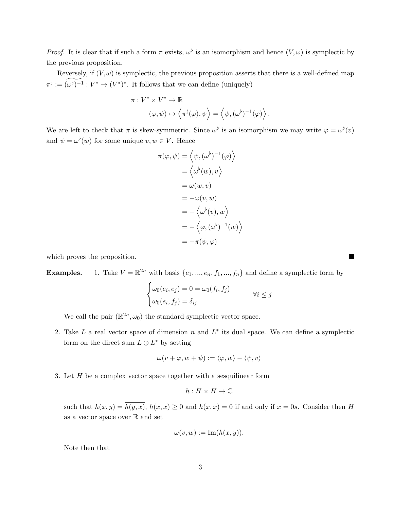*Proof.* It is clear that if such a form  $\pi$  exists,  $\omega^{\flat}$  is an isomorphism and hence  $(V, \omega)$  is symplectic by the previous proposition.

Reversely, if  $(V, \omega)$  is symplectic, the previous proposition asserts that there is a well-defined map  $\pi^{\sharp} := \widetilde{(\omega^{\flat})^{-1}} : V^* \to (V^*)^*$ . It follows that we can define (uniquely)

$$
\pi: V^* \times V^* \to \mathbb{R}
$$
  

$$
(\varphi, \psi) \mapsto \left\langle \pi^{\sharp}(\varphi), \psi \right\rangle = \left\langle \psi, (\omega^{\flat})^{-1}(\varphi) \right\rangle.
$$

We are left to check that  $\pi$  is skew-symmetric. Since  $\omega^{\flat}$  is an isomorphism we may write  $\varphi = \omega^{\flat}(v)$ and  $\psi = \omega^{\flat}(w)$  for some unique  $v, w \in V$ . Hence

$$
\pi(\varphi, \psi) = \left\langle \psi, (\omega^{\flat})^{-1}(\varphi) \right\rangle
$$

$$
= \left\langle \omega^{\flat}(w), v \right\rangle
$$

$$
= \omega(w, v)
$$

$$
= -\omega(v, w)
$$

$$
= -\left\langle \omega^{\flat}(v), w \right\rangle
$$

$$
= -\left\langle \varphi, (\omega^{\flat})^{-1}(w) \right\rangle
$$

$$
= -\pi(\psi, \varphi)
$$

which proves the proposition.

**Examples.** 1. Take  $V = \mathbb{R}^{2n}$  with basis  $\{e_1, ..., e_n, f_1, ..., f_n\}$  and define a symplectic form by

$$
\begin{cases} \omega_0(e_i, e_j) = 0 = \omega_0(f_i, f_j) \\ \omega_0(e_i, f_j) = \delta_{ij} \end{cases} \qquad \forall i \leq j
$$

We call the pair  $(\mathbb{R}^{2n}, \omega_0)$  the standard symplectic vector space.

2. Take L a real vector space of dimension n and  $L^*$  its dual space. We can define a symplectic form on the direct sum  $L \oplus L^*$  by setting

$$
\omega(v+\varphi,w+\psi):=\langle\varphi,w\rangle-\langle\psi,v\rangle
$$

3. Let H be a complex vector space together with a sesquilinear form

$$
h:H\times H\to\mathbb{C}
$$

such that  $h(x, y) = \overline{h(y, x)}$ ,  $h(x, x) \ge 0$  and  $h(x, x) = 0$  if and only if  $x = 0$ s. Consider then H as a vector space over  $\mathbb R$  and set

$$
\omega(v, w) := \operatorname{Im}(h(x, y)).
$$

Note then that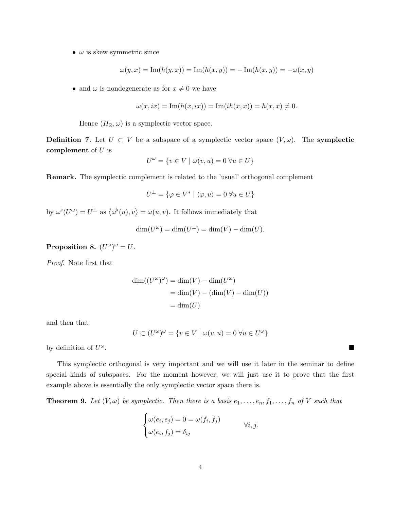•  $\omega$  is skew symmetric since

$$
\omega(y,x) = \operatorname{Im}(h(y,x)) = \operatorname{Im}(\overline{h(x,y)}) = -\operatorname{Im}(h(x,y)) = -\omega(x,y)
$$

• and  $\omega$  is nondegenerate as for  $x \neq 0$  we have

$$
\omega(x, ix) = \text{Im}(h(x, ix)) = \text{Im}(ih(x, x)) = h(x, x) \neq 0.
$$

Hence  $(H_{\mathbb{R}}, \omega)$  is a symplectic vector space.

**Definition 7.** Let  $U \subset V$  be a subspace of a symplectic vector space  $(V, \omega)$ . The symplectic complement of  $U$  is

$$
U^{\omega} = \{ v \in V \mid \omega(v, u) = 0 \,\forall u \in U \}
$$

Remark. The symplectic complement is related to the 'usual' orthogonal complement

$$
U^{\perp} = \{ \varphi \in V^* \mid \langle \varphi, u \rangle = 0 \,\forall u \in U \}
$$

by  $\omega^{\flat}(U^{\omega}) = U^{\perp}$  as  $\langle \omega^{\flat}(u), v \rangle = \omega(u, v)$ . It follows immediately that

$$
\dim(U^{\omega}) = \dim(U^{\perp}) = \dim(V) - \dim(U).
$$

Proposition 8.  $(U^{\omega})^{\omega} = U$ .

Proof. Note first that

$$
dim((U^{\omega})^{\omega}) = dim(V) - dim(U^{\omega})
$$
  
= dim(V) - (dim(V) - dim(U))  
= dim(U)

and then that

$$
U \subset (U^{\omega})^{\omega} = \{ v \in V \mid \omega(v, u) = 0 \; \forall u \in U^{\omega} \}
$$

by definition of  $U^{\omega}$ .

This symplectic orthogonal is very important and we will use it later in the seminar to define special kinds of subspaces. For the moment however, we will just use it to prove that the first example above is essentially the only symplectic vector space there is.

**Theorem 9.** Let  $(V, \omega)$  be symplectic. Then there is a basis  $e_1, \ldots, e_n, f_1, \ldots, f_n$  of V such that

$$
\begin{cases} \omega(e_i, e_j) = 0 = \omega(f_i, f_j) \\ \omega(e_i, f_j) = \delta_{ij} \end{cases} \qquad \forall i, j.
$$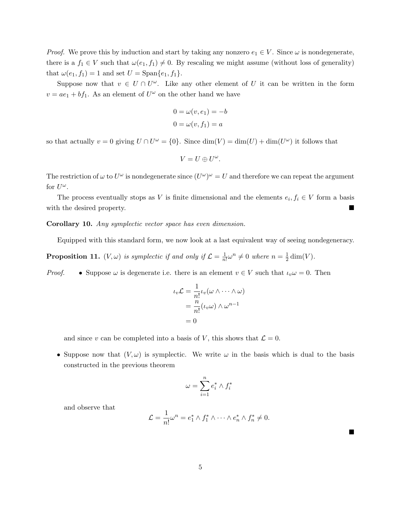*Proof.* We prove this by induction and start by taking any nonzero  $e_1 \in V$ . Since  $\omega$  is nondegenerate, there is a  $f_1 \in V$  such that  $\omega(e_1, f_1) \neq 0$ . By rescaling we might assume (without loss of generality) that  $\omega(e_1, f_1) = 1$  and set  $U = \text{Span}\{e_1, f_1\}.$ 

Suppose now that  $v \in U \cap U^{\omega}$ . Like any other element of U it can be written in the form  $v = ae_1 + bf_1$ . As an element of  $U^{\omega}$  on the other hand we have

$$
0 = \omega(v, e_1) = -b
$$
  

$$
0 = \omega(v, f_1) = a
$$

so that actually  $v = 0$  giving  $U \cap U^{\omega} = \{0\}$ . Since  $\dim(V) = \dim(U) + \dim(U^{\omega})$  it follows that

$$
V=U\oplus U^{\omega}.
$$

The restriction of  $\omega$  to  $U^{\omega}$  is nondegenerate since  $(U^{\omega})^{\omega} = U$  and therefore we can repeat the argument for  $U^{\omega}$ .

The process eventually stops as V is finite dimensional and the elements  $e_i, f_i \in V$  form a basis with the desired property.

Corollary 10. Any symplectic vector space has even dimension.

Equipped with this standard form, we now look at a last equivalent way of seeing nondegeneracy.

**Proposition 11.**  $(V, \omega)$  is symplectic if and only if  $\mathcal{L} = \frac{1}{n}$  $\frac{1}{n!}\omega^n \neq 0$  where  $n = \frac{1}{2}$  $\frac{1}{2}$  dim(V).

*Proof.* • Suppose  $\omega$  is degenerate i.e. there is an element  $v \in V$  such that  $\iota_v \omega = 0$ . Then

$$
\iota_v \mathcal{L} = \frac{1}{n!} \iota_v(\omega \wedge \dots \wedge \omega)
$$

$$
= \frac{n}{n!} (\iota_v \omega) \wedge \omega^{n-1}
$$

$$
= 0
$$

and since v can be completed into a basis of V, this shows that  $\mathcal{L} = 0$ .

• Suppose now that  $(V, \omega)$  is symplectic. We write  $\omega$  in the basis which is dual to the basis constructed in the previous theorem

$$
\omega = \sum_{i=1}^n e_i^* \wedge f_i^*
$$

and observe that

$$
\mathcal{L} = \frac{1}{n!} \omega^n = e_1^* \wedge f_1^* \wedge \cdots \wedge e_n^* \wedge f_n^* \neq 0.
$$

Ë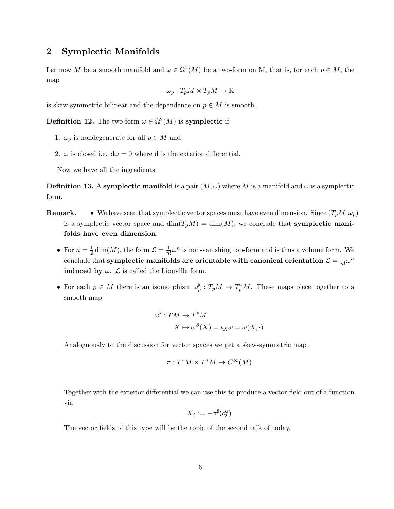## 2 Symplectic Manifolds

Let now M be a smooth manifold and  $\omega \in \Omega^2(M)$  be a two-form on M, that is, for each  $p \in M$ , the map

$$
\omega_p: T_p M \times T_p M \to \mathbb{R}
$$

is skew-symmetric bilinear and the dependence on  $p \in M$  is smooth.

**Definition 12.** The two-form  $\omega \in \Omega^2(M)$  is **symplectic** if

- 1.  $\omega_p$  is nondegenerate for all  $p \in M$  and
- 2.  $\omega$  is closed i.e.  $d\omega = 0$  where d is the exterior differential.

Now we have all the ingredients:

**Definition 13.** A symplectic manifold is a pair  $(M, \omega)$  where M is a manifold and  $\omega$  is a symplectic form.

- **Remark.** We have seen that symplectic vector spaces must have even dimension. Since  $(T_pM, \omega_p)$ is a symplectic vector space and  $\dim(T_pM) = \dim(M)$ , we conclude that **symplectic mani**folds have even dimension.
	- For  $n=\frac{1}{2}$  $\frac{1}{2}\dim(M)$ , the form  $\mathcal{L}=\frac{1}{n}$  $\frac{1}{n!}\omega^n$  is non-vanishing top-form and is thus a volume form. We conclude that symplectic manifolds are orientable with canonical orientation  $\mathcal{L} = \frac{1}{n}$  $\frac{1}{n!}\omega^n$ induced by  $\omega$ .  $\mathcal L$  is called the Liouville form.
	- For each  $p \in M$  there is an isomorphism  $\omega_p^{\flat}: T_pM \to T_p^*M$ . These maps piece together to a smooth map

$$
\omega^{\flat} : TM \to T^*M
$$

$$
X \mapsto \omega^{\beta}(X) = \iota_X \omega = \omega(X, \cdot)
$$

Analoguously to the discussion for vector spaces we get a skew-symmetric map

$$
\pi:T^*M\times T^*M\to C^\infty(M)
$$

Together with the exterior differential we can use this to produce a vector field out of a function via

$$
X_f := -\pi^{\sharp}(df)
$$

The vector fields of this type will be the topic of the second talk of today.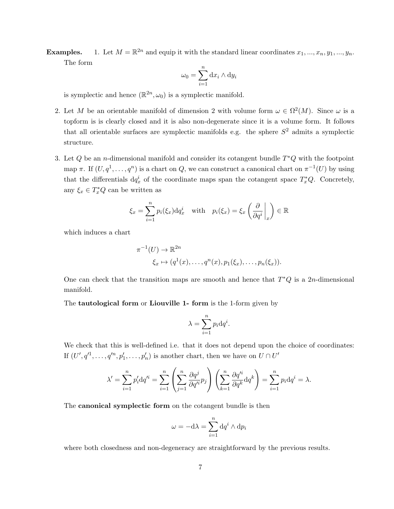**Examples.** 1. Let  $M = \mathbb{R}^{2n}$  and equip it with the standard linear coordinates  $x_1, ..., x_n, y_1, ..., y_n$ . The form

$$
\omega_0 = \sum_{i=1}^n \mathrm{d}x_i \wedge \mathrm{d}y_i
$$

is symplectic and hence  $(\mathbb{R}^{2n}, \omega_0)$  is a symplectic manifold.

- 2. Let M be an orientable manifold of dimension 2 with volume form  $\omega \in \Omega^2(M)$ . Since  $\omega$  is a topform is is clearly closed and it is also non-degenerate since it is a volume form. It follows that all orientable surfaces are symplectic manifolds e.g. the sphere  $S<sup>2</sup>$  admits a symplectic structure.
- 3. Let  $Q$  be an n-dimensional manifold and consider its cotangent bundle  $T^*Q$  with the footpoint map  $\pi$ . If  $(U, q<sup>1</sup>, \ldots, q<sup>n</sup>)$  is a chart on Q, we can construct a canonical chart on  $\pi^{-1}(U)$  by using that the differentials  $dq_x^i$  of the coordinate maps span the cotangent space  $T_x^*Q$ . Concretely, any  $\xi_x \in T^*_x Q$  can be written as

$$
\xi_x = \sum_{i=1}^n p_i(\xi_x) \mathrm{d} q_x^i \quad \text{with} \quad p_i(\xi_x) = \xi_x \left( \frac{\partial}{\partial q^i} \bigg|_x \right) \in \mathbb{R}
$$

which induces a chart

$$
\pi^{-1}(U) \to \mathbb{R}^{2n}
$$
  

$$
\xi_x \mapsto (q^1(x), \dots, q^n(x), p_1(\xi_x), \dots, p_n(\xi_x)).
$$

One can check that the transition maps are smooth and hence that  $T^*Q$  is a 2n-dimensional manifold.

The tautological form or Liouville 1- form is the 1-form given by

$$
\lambda = \sum_{i=1}^{n} p_i \mathrm{d} q^i.
$$

We check that this is well-defined i.e. that it does not depend upon the choice of coordinates: If  $(U', q'^1, \ldots, q'^n, p'_1, \ldots, p'_n)$  is another chart, then we have on  $U \cap U'$ 

$$
\lambda' = \sum_{i=1}^n p'_i \mathrm{d} q'^i = \sum_{i=1}^n \left( \sum_{j=1}^n \frac{\partial q^j}{\partial q'^i} p_j \right) \left( \sum_{k=1}^n \frac{\partial q'^i}{\partial q^k} \mathrm{d} q^k \right) = \sum_{i=1}^n p_i \mathrm{d} q^i = \lambda.
$$

The canonical symplectic form on the cotangent bundle is then

$$
\omega = -\mathrm{d}\lambda = \sum_{i=1}^{n} \mathrm{d}q^{i} \wedge \mathrm{d}p_{i}
$$

where both closedness and non-degeneracy are straightforward by the previous results.